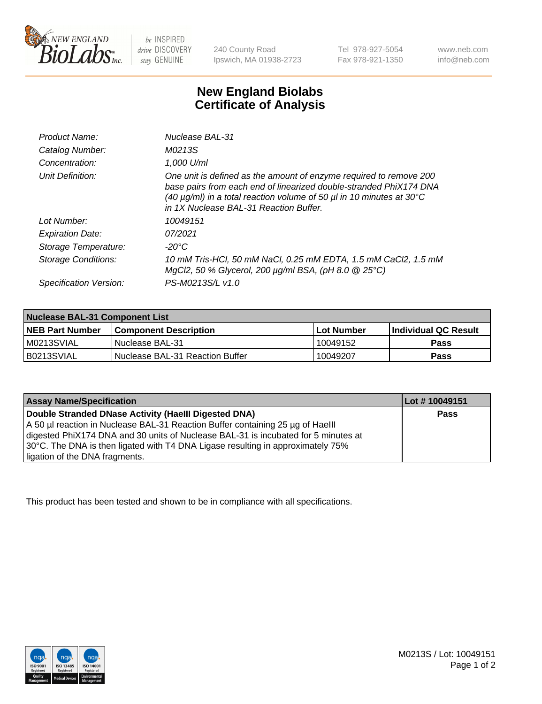

 $be$  INSPIRED drive DISCOVERY stay GENUINE

240 County Road Ipswich, MA 01938-2723 Tel 978-927-5054 Fax 978-921-1350

www.neb.com info@neb.com

## **New England Biolabs Certificate of Analysis**

| Product Name:           | Nuclease BAL-31                                                                                                                                                                                                                                                                 |
|-------------------------|---------------------------------------------------------------------------------------------------------------------------------------------------------------------------------------------------------------------------------------------------------------------------------|
| Catalog Number:         | M0213S                                                                                                                                                                                                                                                                          |
| Concentration:          | 1,000 U/ml                                                                                                                                                                                                                                                                      |
| Unit Definition:        | One unit is defined as the amount of enzyme required to remove 200<br>base pairs from each end of linearized double-stranded PhiX174 DNA<br>(40 $\mu$ g/ml) in a total reaction volume of 50 $\mu$ l in 10 minutes at 30 $^{\circ}$ C<br>in 1X Nuclease BAL-31 Reaction Buffer. |
| Lot Number:             | 10049151                                                                                                                                                                                                                                                                        |
| <b>Expiration Date:</b> | 07/2021                                                                                                                                                                                                                                                                         |
| Storage Temperature:    | -20°C                                                                                                                                                                                                                                                                           |
| Storage Conditions:     | 10 mM Tris-HCl, 50 mM NaCl, 0.25 mM EDTA, 1.5 mM CaCl2, 1.5 mM<br>MgCl2, 50 % Glycerol, 200 $\mu$ g/ml BSA, (pH 8.0 $\circledR$ 25°C)                                                                                                                                           |
| Specification Version:  | PS-M0213S/L v1.0                                                                                                                                                                                                                                                                |

| Nuclease BAL-31 Component List |                                 |            |                             |  |
|--------------------------------|---------------------------------|------------|-----------------------------|--|
| <b>NEB Part Number</b>         | <b>Component Description</b>    | Lot Number | <b>Individual QC Result</b> |  |
| IM0213SVIAL                    | l Nuclease BAL-31               | 10049152   | <b>Pass</b>                 |  |
| IB0213SVIAL                    | Nuclease BAL-31 Reaction Buffer | 10049207   | <b>Pass</b>                 |  |

| <b>Assay Name/Specification</b>                                                    | Lot # 10049151 |
|------------------------------------------------------------------------------------|----------------|
| Double Stranded DNase Activity (Haelll Digested DNA)                               | <b>Pass</b>    |
| A 50 µl reaction in Nuclease BAL-31 Reaction Buffer containing 25 µg of Haelll     |                |
| digested PhiX174 DNA and 30 units of Nuclease BAL-31 is incubated for 5 minutes at |                |
| 30°C. The DNA is then ligated with T4 DNA Ligase resulting in approximately 75%    |                |
| ligation of the DNA fragments.                                                     |                |

This product has been tested and shown to be in compliance with all specifications.